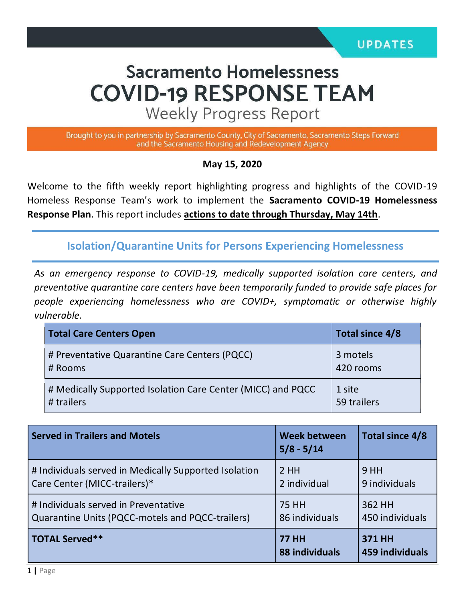# **Sacramento Homelessness COVID-19 RESPONSE TEAM**

**Weekly Progress Report** 

Brought to you in partnership by Sacramento County, City of Sacramento, Sacramento Steps Forward and the Sacramento Housing and Redevelopment Agency

#### **May 15, 2020**

Welcome to the fifth weekly report highlighting progress and highlights of the COVID-19 Homeless Response Team's work to implement the **Sacramento COVID-19 Homelessness Response Plan**. This report includes **actions to date through Thursday, May 14th**.

**Isolation/Quarantine Units for Persons Experiencing Homelessness**

*As an emergency response to COVID-19, medically supported isolation care centers, and preventative quarantine care centers have been temporarily funded to provide safe places for people experiencing homelessness who are COVID+, symptomatic or otherwise highly vulnerable.*

| <b>Total Care Centers Open</b>                              | Total since 4/8 |
|-------------------------------------------------------------|-----------------|
| # Preventative Quarantine Care Centers (PQCC)               | 3 motels        |
| # Rooms                                                     | 420 rooms       |
| # Medically Supported Isolation Care Center (MICC) and PQCC | 1 site          |
| # trailers                                                  | 59 trailers     |

| <b>Served in Trailers and Motels</b>                  | <b>Week between</b><br>$5/8 - 5/14$ | Total since 4/8                  |
|-------------------------------------------------------|-------------------------------------|----------------------------------|
| # Individuals served in Medically Supported Isolation | 2HH                                 | 9HH                              |
| Care Center (MICC-trailers)*                          | 2 individual                        | 9 individuals                    |
| # Individuals served in Preventative                  | 75 HH                               | 362 HH                           |
| Quarantine Units (PQCC-motels and PQCC-trailers)      | 86 individuals                      | 450 individuals                  |
| <b>TOTAL Served**</b>                                 | <b>77 HH</b><br>88 individuals      | <b>371 HH</b><br>459 individuals |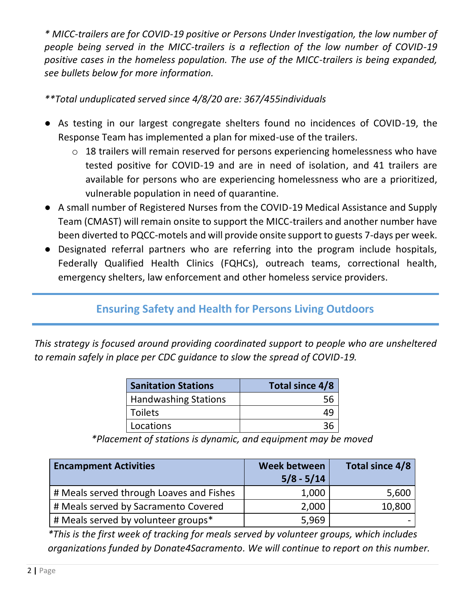*\* MICC-trailers are for COVID-19 positive or Persons Under Investigation, the low number of people being served in the MICC-trailers is a reflection of the low number of COVID-19 positive cases in the homeless population. The use of the MICC-trailers is being expanded, see bullets below for more information.* 

*\*\*Total unduplicated served since 4/8/20 are: 367/455individuals*

- As testing in our largest congregate shelters found no incidences of COVID-19, the Response Team has implemented a plan for mixed-use of the trailers.
	- o 18 trailers will remain reserved for persons experiencing homelessness who have tested positive for COVID-19 and are in need of isolation, and 41 trailers are available for persons who are experiencing homelessness who are a prioritized, vulnerable population in need of quarantine.
- A small number of Registered Nurses from the COVID-19 Medical Assistance and Supply Team (CMAST) will remain onsite to support the MICC-trailers and another number have been diverted to PQCC-motels and will provide onsite support to guests 7-days per week.
- Designated referral partners who are referring into the program include hospitals, Federally Qualified Health Clinics (FQHCs), outreach teams, correctional health, emergency shelters, law enforcement and other homeless service providers.

## **Ensuring Safety and Health for Persons Living Outdoors**

*This strategy is focused around providing coordinated support to people who are unsheltered to remain safely in place per CDC guidance to slow the spread of COVID-19.*

| <b>Sanitation Stations</b>  | Total since 4/8 |
|-----------------------------|-----------------|
| <b>Handwashing Stations</b> |                 |
| l Toilets                   |                 |
| Locations                   |                 |

*\*Placement of stations is dynamic, and equipment may be moved*

| <b>Encampment Activities</b>             | Week between<br>$5/8 - 5/14$ | Total since 4/8 |
|------------------------------------------|------------------------------|-----------------|
| # Meals served through Loaves and Fishes | 1,000                        | 5,600           |
| # Meals served by Sacramento Covered     | 2,000                        | 10,800          |
| # Meals served by volunteer groups*      | 5,969                        |                 |

*\*This is the first week of tracking for meals served by volunteer groups, which includes organizations funded by Donate4Sacramento. We will continue to report on this number.*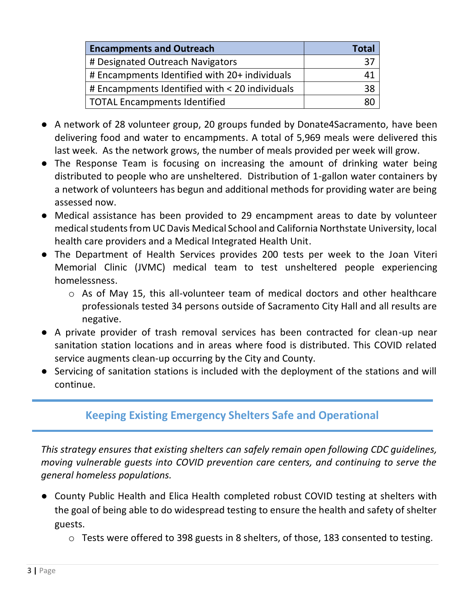| <b>Encampments and Outreach</b>                | Total |
|------------------------------------------------|-------|
| # Designated Outreach Navigators               |       |
| # Encampments Identified with 20+ individuals  |       |
| # Encampments Identified with < 20 individuals |       |
| TOTAL Encampments Identified                   |       |

- A network of 28 volunteer group, 20 groups funded by Donate4Sacramento, have been delivering food and water to encampments. A total of 5,969 meals were delivered this last week. As the network grows, the number of meals provided per week will grow.
- The Response Team is focusing on increasing the amount of drinking water being distributed to people who are unsheltered. Distribution of 1-gallon water containers by a network of volunteers has begun and additional methods for providing water are being assessed now.
- Medical assistance has been provided to 29 encampment areas to date by volunteer medical students from UC Davis Medical School and California Northstate University, local health care providers and a Medical Integrated Health Unit.
- The Department of Health Services provides 200 tests per week to the Joan Viteri Memorial Clinic (JVMC) medical team to test unsheltered people experiencing homelessness.
	- o As of May 15, this all-volunteer team of medical doctors and other healthcare professionals tested 34 persons outside of Sacramento City Hall and all results are negative.
- A private provider of trash removal services has been contracted for clean-up near sanitation station locations and in areas where food is distributed. This COVID related service augments clean-up occurring by the City and County.
- Servicing of sanitation stations is included with the deployment of the stations and will continue.

### **Keeping Existing Emergency Shelters Safe and Operational**

*This strategy ensures that existing shelters can safely remain open following CDC guidelines, moving vulnerable guests into COVID prevention care centers, and continuing to serve the general homeless populations.* 

- County Public Health and Elica Health completed robust COVID testing at shelters with the goal of being able to do widespread testing to ensure the health and safety of shelter guests.
	- o Tests were offered to 398 guests in 8 shelters, of those, 183 consented to testing.